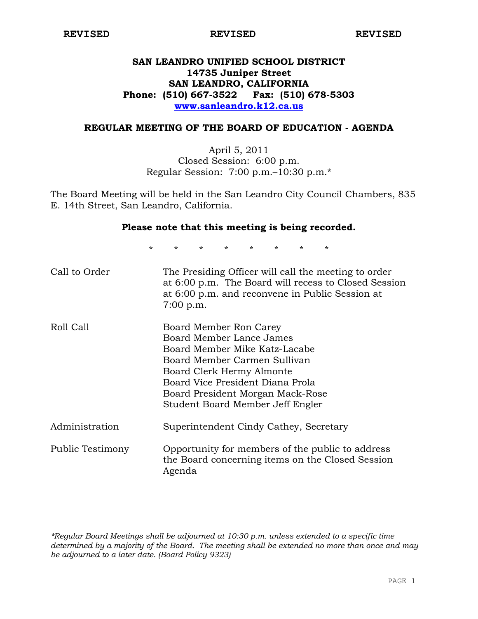# **SAN LEANDRO UNIFIED SCHOOL DISTRICT 14735 Juniper Street SAN LEANDRO, CALIFORNIA Phone: (510) 667-3522 Fax: (510) 678-5303 www.sanleandro.k12.ca.us**

### **REGULAR MEETING OF THE BOARD OF EDUCATION - AGENDA**

April 5, 2011 Closed Session: 6:00 p.m. Regular Session: 7:00 p.m.–10:30 p.m.\*

The Board Meeting will be held in the San Leandro City Council Chambers, 835 E. 14th Street, San Leandro, California.

## **Please note that this meeting is being recorded.**

\* \* \* \* \* \* \* \*

| Call to Order    | The Presiding Officer will call the meeting to order<br>at 6:00 p.m. The Board will recess to Closed Session<br>at 6:00 p.m. and reconvene in Public Session at<br>7:00 p.m.                                                                                 |
|------------------|--------------------------------------------------------------------------------------------------------------------------------------------------------------------------------------------------------------------------------------------------------------|
| Roll Call        | Board Member Ron Carey<br>Board Member Lance James<br>Board Member Mike Katz-Lacabe<br>Board Member Carmen Sullivan<br>Board Clerk Hermy Almonte<br>Board Vice President Diana Prola<br>Board President Morgan Mack-Rose<br>Student Board Member Jeff Engler |
| Administration   | Superintendent Cindy Cathey, Secretary                                                                                                                                                                                                                       |
| Public Testimony | Opportunity for members of the public to address<br>the Board concerning items on the Closed Session<br>Agenda                                                                                                                                               |

*\*Regular Board Meetings shall be adjourned at 10:30 p.m. unless extended to a specific time determined by a majority of the Board. The meeting shall be extended no more than once and may be adjourned to a later date. (Board Policy 9323)*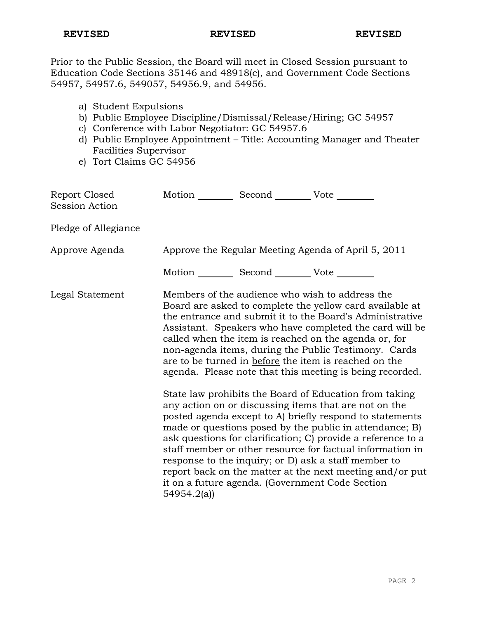Prior to the Public Session, the Board will meet in Closed Session pursuant to Education Code Sections 35146 and 48918(c), and Government Code Sections 54957, 54957.6, 549057, 54956.9, and 54956.

- a) Student Expulsions
- b) Public Employee Discipline/Dismissal/Release/Hiring; GC 54957
- c) Conference with Labor Negotiator: GC 54957.6
- d) Public Employee Appointment Title: Accounting Manager and Theater Facilities Supervisor
- e) Tort Claims GC 54956

| Report Closed<br><b>Session Action</b> | Motion ___________ Second _____________ Vote _________ |                                                                                                                                                                                                                                                                                                                                                                                                                                                                                                                                                                                                                                                                                                                                                                                                                                                                                                                                                                                                                        |
|----------------------------------------|--------------------------------------------------------|------------------------------------------------------------------------------------------------------------------------------------------------------------------------------------------------------------------------------------------------------------------------------------------------------------------------------------------------------------------------------------------------------------------------------------------------------------------------------------------------------------------------------------------------------------------------------------------------------------------------------------------------------------------------------------------------------------------------------------------------------------------------------------------------------------------------------------------------------------------------------------------------------------------------------------------------------------------------------------------------------------------------|
| Pledge of Allegiance                   |                                                        |                                                                                                                                                                                                                                                                                                                                                                                                                                                                                                                                                                                                                                                                                                                                                                                                                                                                                                                                                                                                                        |
| Approve Agenda                         |                                                        | Approve the Regular Meeting Agenda of April 5, 2011                                                                                                                                                                                                                                                                                                                                                                                                                                                                                                                                                                                                                                                                                                                                                                                                                                                                                                                                                                    |
|                                        | Motion __________ Second __________ Vote ________      |                                                                                                                                                                                                                                                                                                                                                                                                                                                                                                                                                                                                                                                                                                                                                                                                                                                                                                                                                                                                                        |
| Legal Statement                        | 54954.2(a)                                             | Members of the audience who wish to address the<br>Board are asked to complete the yellow card available at<br>the entrance and submit it to the Board's Administrative<br>Assistant. Speakers who have completed the card will be<br>called when the item is reached on the agenda or, for<br>non-agenda items, during the Public Testimony. Cards<br>are to be turned in before the item is reached on the<br>agenda. Please note that this meeting is being recorded.<br>State law prohibits the Board of Education from taking<br>any action on or discussing items that are not on the<br>posted agenda except to A) briefly respond to statements<br>made or questions posed by the public in attendance; B)<br>ask questions for clarification; C) provide a reference to a<br>staff member or other resource for factual information in<br>response to the inquiry; or D) ask a staff member to<br>report back on the matter at the next meeting and/or put<br>it on a future agenda. (Government Code Section |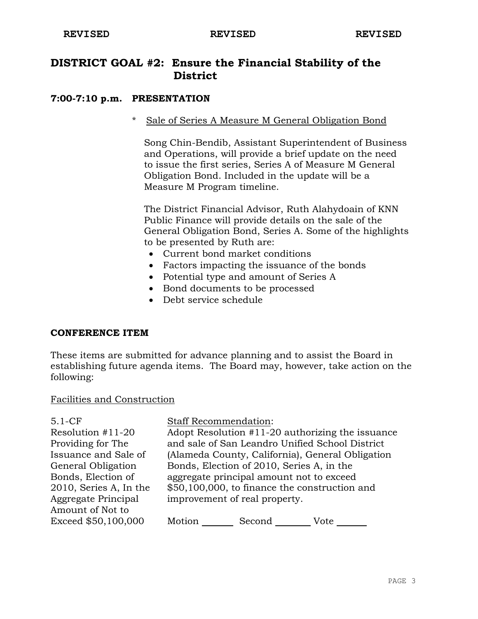# **DISTRICT GOAL #2: Ensure the Financial Stability of the District**

# **7:00-7:10 p.m. PRESENTATION**

# \* Sale of Series A Measure M General Obligation Bond

 Song Chin-Bendib, Assistant Superintendent of Business and Operations, will provide a brief update on the need to issue the first series, Series A of Measure M General Obligation Bond. Included in the update will be a Measure M Program timeline.

 The District Financial Advisor, Ruth Alahydoain of KNN Public Finance will provide details on the sale of the General Obligation Bond, Series A. Some of the highlights to be presented by Ruth are:

- Current bond market conditions
- Factors impacting the issuance of the bonds
- Potential type and amount of Series A
- Bond documents to be processed
- Debt service schedule

#### **CONFERENCE ITEM**

These items are submitted for advance planning and to assist the Board in establishing future agenda items. The Board may, however, take action on the following:

#### Facilities and Construction

| $5.1-CF$               | <b>Staff Recommendation:</b>                     |
|------------------------|--------------------------------------------------|
| Resolution #11-20      | Adopt Resolution #11-20 authorizing the issuance |
| Providing for The      | and sale of San Leandro Unified School District  |
| Issuance and Sale of   | (Alameda County, California), General Obligation |
| General Obligation     | Bonds, Election of 2010, Series A, in the        |
| Bonds, Election of     | aggregate principal amount not to exceed         |
| 2010, Series A, In the | \$50,100,000, to finance the construction and    |
| Aggregate Principal    | improvement of real property.                    |
| Amount of Not to       |                                                  |
| Exceed \$50,100,000    | Motion<br>Second<br>Vote                         |
|                        |                                                  |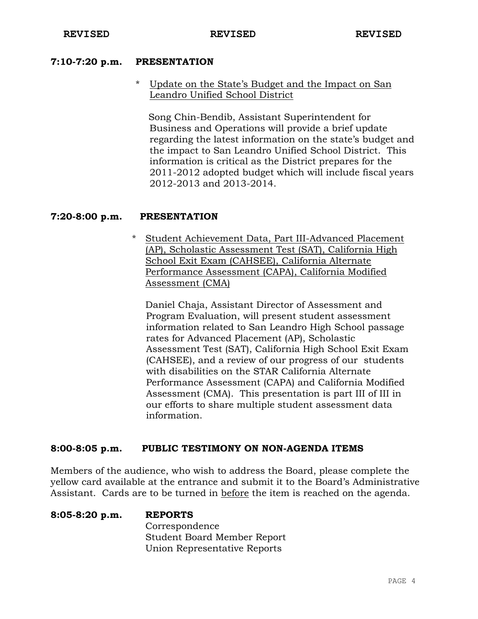#### **7:10-7:20 p.m. PRESENTATION**

# Update on the State's Budget and the Impact on San Leandro Unified School District

 Song Chin-Bendib, Assistant Superintendent for Business and Operations will provide a brief update regarding the latest information on the state's budget and the impact to San Leandro Unified School District. This information is critical as the District prepares for the 2011-2012 adopted budget which will include fiscal years 2012-2013 and 2013-2014.

## **7:20-8:00 p.m. PRESENTATION**

\* Student Achievement Data, Part III-Advanced Placement (AP), Scholastic Assessment Test (SAT), California High School Exit Exam (CAHSEE), California Alternate Performance Assessment (CAPA), California Modified Assessment (CMA)

Daniel Chaja, Assistant Director of Assessment and Program Evaluation, will present student assessment information related to San Leandro High School passage rates for Advanced Placement (AP), Scholastic Assessment Test (SAT), California High School Exit Exam (CAHSEE), and a review of our progress of our students with disabilities on the STAR California Alternate Performance Assessment (CAPA) and California Modified Assessment (CMA). This presentation is part III of III in our efforts to share multiple student assessment data information.

#### **8:00-8:05 p.m. PUBLIC TESTIMONY ON NON-AGENDA ITEMS**

Members of the audience, who wish to address the Board, please complete the yellow card available at the entrance and submit it to the Board's Administrative Assistant. Cards are to be turned in before the item is reached on the agenda.

**8:05-8:20 p.m. REPORTS** Correspondence Student Board Member Report Union Representative Reports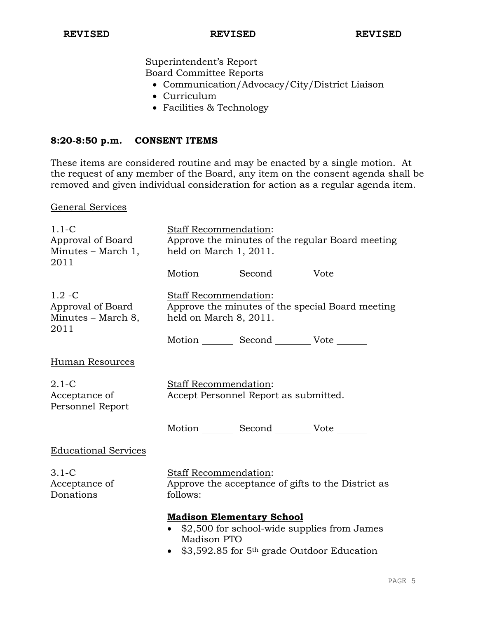Superintendent's Report Board Committee Reports

- Communication/Advocacy/City/District Liaison
- Curriculum
- Facilities & Technology

#### **8:20-8:50 p.m. CONSENT ITEMS**

These items are considered routine and may be enacted by a single motion. At the request of any member of the Board, any item on the consent agenda shall be removed and given individual consideration for action as a regular agenda item.

#### General Services

| $1.1-C$                                                      | Staff Recommendation:                                                                                                                                  |
|--------------------------------------------------------------|--------------------------------------------------------------------------------------------------------------------------------------------------------|
| Approval of Board<br>Minutes $-$ March 1,<br>2011            | Approve the minutes of the regular Board meeting<br>held on March 1, 2011.                                                                             |
|                                                              | Motion _________ Second __________ Vote _______                                                                                                        |
| $1.2 - C$<br>Approval of Board<br>Minutes – March 8,<br>2011 | Staff Recommendation:<br>Approve the minutes of the special Board meeting<br>held on March 8, 2011.<br>Motion _________ Second __________ Vote _______ |
|                                                              |                                                                                                                                                        |
| <b>Human Resources</b>                                       |                                                                                                                                                        |
| $2.1-C$<br>Acceptance of<br>Personnel Report                 | Staff Recommendation:<br>Accept Personnel Report as submitted.                                                                                         |
|                                                              | Motion _________ Second __________ Vote _______                                                                                                        |
| <b>Educational Services</b>                                  |                                                                                                                                                        |
| $3.1-C$<br>Acceptance of<br>Donations                        | <b>Staff Recommendation:</b><br>Approve the acceptance of gifts to the District as<br>follows:                                                         |
|                                                              | <b>Madison Elementary School</b>                                                                                                                       |
|                                                              | \$2,500 for school-wide supplies from James<br>Madison PTO                                                                                             |
|                                                              | \$3,592.85 for 5 <sup>th</sup> grade Outdoor Education                                                                                                 |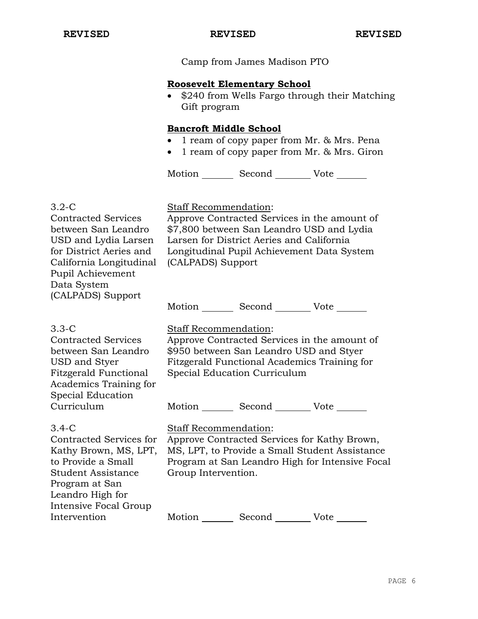Camp from James Madison PTO

#### **Roosevelt Elementary School**

• \$240 from Wells Fargo through their Matching Gift program

# **Bancroft Middle School**

- 1 ream of copy paper from Mr. & Mrs. Pena
- 1 ream of copy paper from Mr. & Mrs. Giron

Motion Second Vote

#### 3.2-C

Contracted Services between San Leandro USD and Lydia Larsen for District Aeries and California Longitudinal Pupil Achievement Data System (CALPADS) Support

Staff Recommendation:

Approve Contracted Services in the amount of \$7,800 between San Leandro USD and Lydia Larsen for District Aeries and California Longitudinal Pupil Achievement Data System (CALPADS) Support

Motion Second Vote

#### 3.3-C

Contracted Services between San Leandro USD and Styer Fitzgerald Functional Academics Training for Special Education Curriculum

# Staff Recommendation:

Approve Contracted Services in the amount of \$950 between San Leandro USD and Styer Fitzgerald Functional Academics Training for Special Education Curriculum

Motion Second Vote

#### 3.4-C

Contracted Services for Kathy Brown, MS, LPT, to Provide a Small Student Assistance Program at San Leandro High for Intensive Focal Group Intervention

# Staff Recommendation:

Approve Contracted Services for Kathy Brown, MS, LPT, to Provide a Small Student Assistance Program at San Leandro High for Intensive Focal Group Intervention.

Motion Second Vote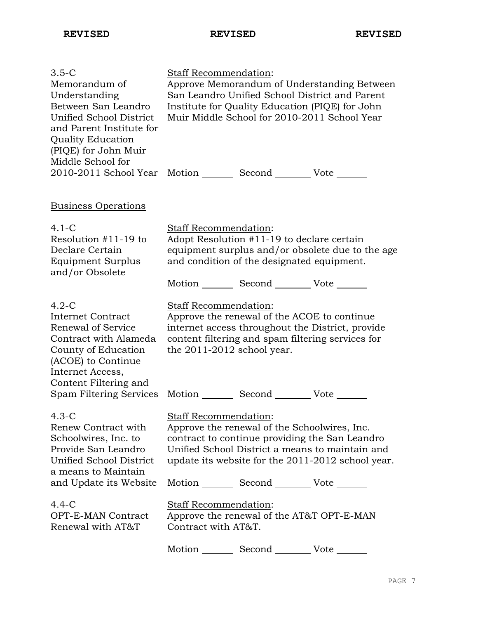**REVISED REVISED REVISED**

| $3.5-C$<br>Memorandum of<br>Understanding<br>Between San Leandro<br>Unified School District<br>and Parent Institute for<br><b>Quality Education</b><br>(PIQE) for John Muir<br>Middle School for | Staff Recommendation:                               |                                                                                                                                             | Approve Memorandum of Understanding Between<br>San Leandro Unified School District and Parent<br>Institute for Quality Education (PIQE) for John<br>Muir Middle School for 2010-2011 School Year |
|--------------------------------------------------------------------------------------------------------------------------------------------------------------------------------------------------|-----------------------------------------------------|---------------------------------------------------------------------------------------------------------------------------------------------|--------------------------------------------------------------------------------------------------------------------------------------------------------------------------------------------------|
| 2010-2011 School Year Motion _________ Second _________ Vote _______                                                                                                                             |                                                     |                                                                                                                                             |                                                                                                                                                                                                  |
| <b>Business Operations</b>                                                                                                                                                                       |                                                     |                                                                                                                                             |                                                                                                                                                                                                  |
| $4.1-C$<br>Resolution $#11-19$ to<br>Declare Certain<br>Equipment Surplus<br>and/or Obsolete                                                                                                     | Staff Recommendation:                               | Adopt Resolution #11-19 to declare certain<br>and condition of the designated equipment.<br>Motion _________ Second __________ Vote _______ | equipment surplus and/or obsolete due to the age                                                                                                                                                 |
| $4.2-C$<br><b>Internet Contract</b><br>Renewal of Service<br>Contract with Alameda<br>County of Education<br>(ACOE) to Continue<br>Internet Access,                                              | Staff Recommendation:<br>the 2011-2012 school year. | Approve the renewal of the ACOE to continue                                                                                                 | internet access throughout the District, provide<br>content filtering and spam filtering services for                                                                                            |
| Content Filtering and<br>Spam Filtering Services                                                                                                                                                 |                                                     | Motion _________ Second __________ Vote _______                                                                                             |                                                                                                                                                                                                  |
| $4.3-C$<br>Renew Contract with<br>Schoolwires, Inc. to<br>Provide San Leandro<br>Unified School District<br>a means to Maintain                                                                  | <b>Staff Recommendation:</b>                        | Approve the renewal of the Schoolwires, Inc.                                                                                                | contract to continue providing the San Leandro<br>Unified School District a means to maintain and<br>update its website for the 2011-2012 school year.                                           |
| and Update its Website                                                                                                                                                                           |                                                     | Motion Second Vote ______                                                                                                                   |                                                                                                                                                                                                  |
| $4.4 - C$<br>OPT-E-MAN Contract<br>Renewal with AT&T                                                                                                                                             | <b>Staff Recommendation:</b><br>Contract with AT&T. | Approve the renewal of the AT&T OPT-E-MAN                                                                                                   |                                                                                                                                                                                                  |
|                                                                                                                                                                                                  | Motion                                              | Second                                                                                                                                      | Vote                                                                                                                                                                                             |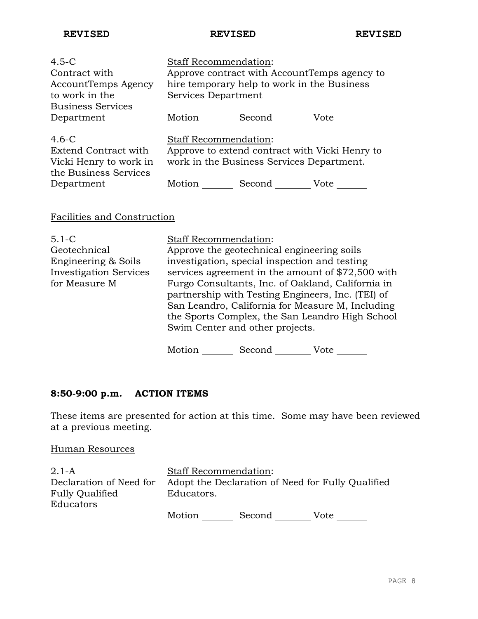**REVISED REVISED REVISED**

| $4.5 - C$<br>Contract with<br>AccountTemps Agency<br>to work in the                       | <b>Staff Recommendation:</b><br>Services Department | hire temporary help to work in the Business                                                 | Approve contract with AccountTemps agency to |
|-------------------------------------------------------------------------------------------|-----------------------------------------------------|---------------------------------------------------------------------------------------------|----------------------------------------------|
| <b>Business Services</b><br>Department                                                    |                                                     | Motion Second Vote                                                                          |                                              |
| $4.6-C$<br><b>Extend Contract with</b><br>Vicki Henry to work in<br>the Business Services | Staff Recommendation:                               | Approve to extend contract with Vicki Henry to<br>work in the Business Services Department. |                                              |
| Department                                                                                | Motion                                              | Second                                                                                      | Vote                                         |

# Facilities and Construction

| $5.1 - C$                     | <b>Staff Recommendation:</b>                      |
|-------------------------------|---------------------------------------------------|
| Geotechnical                  | Approve the geotechnical engineering soils        |
| Engineering & Soils           | investigation, special inspection and testing     |
| <b>Investigation Services</b> | services agreement in the amount of \$72,500 with |
| for Measure M                 | Furgo Consultants, Inc. of Oakland, California in |
|                               | partnership with Testing Engineers, Inc. (TEI) of |
|                               | San Leandro, California for Measure M, Including  |
|                               | the Sports Complex, the San Leandro High School   |
|                               | Swim Center and other projects.                   |
|                               |                                                   |

Motion Second Vote \_\_\_\_\_\_

# **8:50-9:00 p.m. ACTION ITEMS**

These items are presented for action at this time. Some may have been reviewed at a previous meeting.

Human Resources

| $2.1-A$                 | <b>Staff Recommendation:</b> |        |                                                   |
|-------------------------|------------------------------|--------|---------------------------------------------------|
| Declaration of Need for |                              |        | Adopt the Declaration of Need for Fully Qualified |
| <b>Fully Qualified</b>  | Educators.                   |        |                                                   |
| Educators               |                              |        |                                                   |
|                         | $M$ otion                    | Second | $V \cap t \infty$                                 |

Motion Second Vote \_\_\_\_\_\_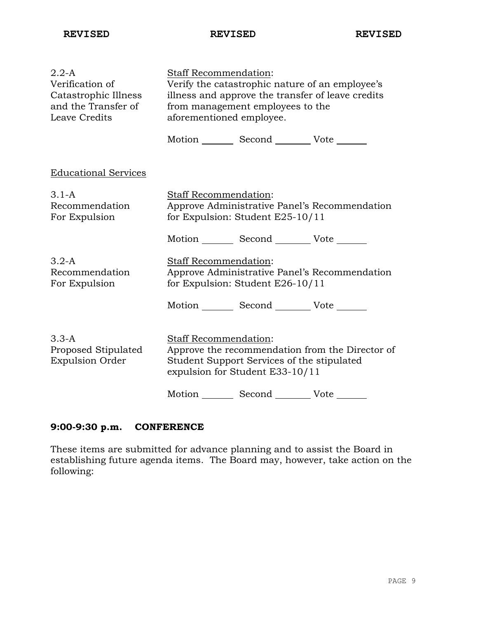**REVISED REVISED REVISED**

| $2.2-A$<br>Verification of<br>Catastrophic Illness<br>and the Transfer of<br>Leave Credits | Staff Recommendation:<br>Verify the catastrophic nature of an employee's<br>illness and approve the transfer of leave credits<br>from management employees to the<br>aforementioned employee. |  |
|--------------------------------------------------------------------------------------------|-----------------------------------------------------------------------------------------------------------------------------------------------------------------------------------------------|--|
|                                                                                            | Motion _________ Second __________ Vote _______                                                                                                                                               |  |
| <b>Educational Services</b>                                                                |                                                                                                                                                                                               |  |
| $3.1-A$<br>Recommendation<br>For Expulsion                                                 | Staff Recommendation:<br>Approve Administrative Panel's Recommendation<br>for Expulsion: Student E25-10/11                                                                                    |  |
|                                                                                            | Motion _________ Second __________ Vote _______                                                                                                                                               |  |
| $3.2-A$<br>Recommendation<br>For Expulsion                                                 | Staff Recommendation:<br>Approve Administrative Panel's Recommendation<br>for Expulsion: Student E26-10/11                                                                                    |  |
|                                                                                            | Motion _________ Second __________ Vote _______                                                                                                                                               |  |
| $3.3 - A$<br>Proposed Stipulated<br><b>Expulsion Order</b>                                 | <b>Staff Recommendation:</b><br>Approve the recommendation from the Director of<br>Student Support Services of the stipulated<br>expulsion for Student E33-10/11                              |  |
|                                                                                            | Motion<br>Second<br>Vote                                                                                                                                                                      |  |

# **9:00-9:30 p.m. CONFERENCE**

These items are submitted for advance planning and to assist the Board in establishing future agenda items. The Board may, however, take action on the following: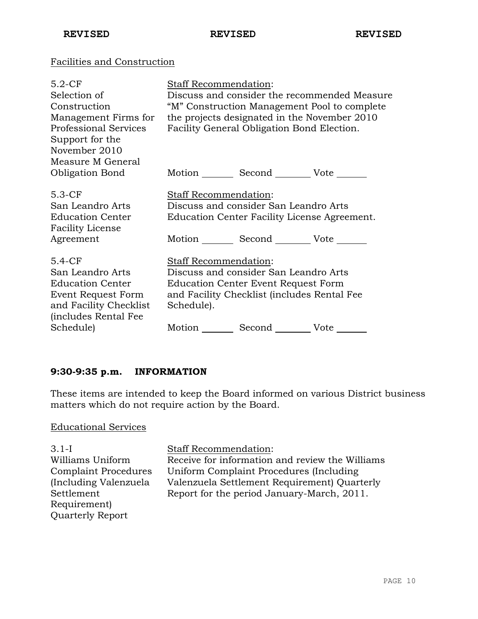# Facilities and Construction

| $5.2-CF$                     | Staff Recommendation:                           |
|------------------------------|-------------------------------------------------|
| Selection of                 | Discuss and consider the recommended Measure    |
| Construction                 | "M" Construction Management Pool to complete    |
| Management Firms for         | the projects designated in the November 2010    |
| <b>Professional Services</b> | Facility General Obligation Bond Election.      |
| Support for the              |                                                 |
| November 2010                |                                                 |
| Measure M General            |                                                 |
| <b>Obligation Bond</b>       | Motion _________ Second __________ Vote _______ |
|                              |                                                 |
| $5.3-CF$                     | Staff Recommendation:                           |
| San Leandro Arts             | Discuss and consider San Leandro Arts           |
| <b>Education Center</b>      | Education Center Facility License Agreement.    |
| <b>Facility License</b>      |                                                 |
| Agreement                    | Motion Second Vote                              |
| $5.4-CF$                     | <b>Staff Recommendation:</b>                    |
|                              |                                                 |
| San Leandro Arts             | Discuss and consider San Leandro Arts           |
| <b>Education Center</b>      | <b>Education Center Event Request Form</b>      |
| Event Request Form           | and Facility Checklist (includes Rental Fee     |
| and Facility Checklist       | Schedule).                                      |
| (includes Rental Fee         |                                                 |
| Schedule)                    | Motion<br>Second Vote                           |
|                              |                                                 |

# **9:30-9:35 p.m. INFORMATION**

These items are intended to keep the Board informed on various District business matters which do not require action by the Board.

#### Educational Services

3.1-I Williams Uniform Complaint Procedures (Including Valenzuela Settlement Requirement) Quarterly Report

Staff Recommendation:

Receive for information and review the Williams Uniform Complaint Procedures (Including Valenzuela Settlement Requirement) Quarterly Report for the period January-March, 2011.